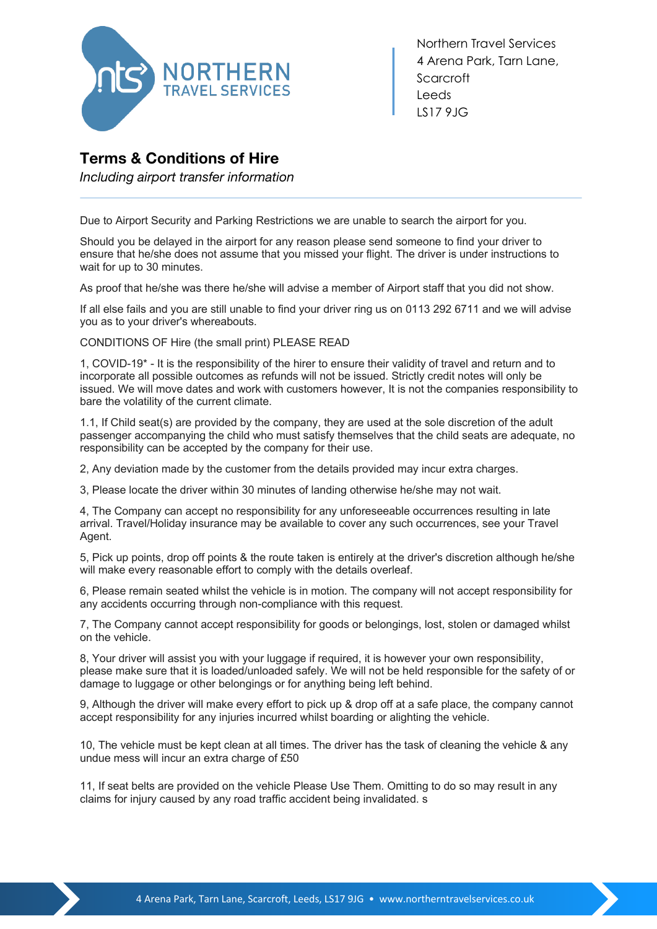

Northern Travel Services 4 Arena Park, Tarn Lane, **Scarcroft** Leeds LS17 9JG

## **Terms & Conditions of Hire**

*Including airport transfer information*

Due to Airport Security and Parking Restrictions we are unable to search the airport for you.

Should you be delayed in the airport for any reason please send someone to find your driver to ensure that he/she does not assume that you missed your flight. The driver is under instructions to wait for up to 30 minutes.

As proof that he/she was there he/she will advise a member of Airport staff that you did not show.

If all else fails and you are still unable to find your driver ring us on 0113 292 6711 and we will advise you as to your driver's whereabouts.

CONDITIONS OF Hire (the small print) PLEASE READ

1, COVID-19\* - It is the responsibility of the hirer to ensure their validity of travel and return and to incorporate all possible outcomes as refunds will not be issued. Strictly credit notes will only be issued. We will move dates and work with customers however, It is not the companies responsibility to bare the volatility of the current climate.

1.1, If Child seat(s) are provided by the company, they are used at the sole discretion of the adult passenger accompanying the child who must satisfy themselves that the child seats are adequate, no responsibility can be accepted by the company for their use.

2, Any deviation made by the customer from the details provided may incur extra charges.

3, Please locate the driver within 30 minutes of landing otherwise he/she may not wait.

4, The Company can accept no responsibility for any unforeseeable occurrences resulting in late arrival. Travel/Holiday insurance may be available to cover any such occurrences, see your Travel Agent.

5, Pick up points, drop off points & the route taken is entirely at the driver's discretion although he/she will make every reasonable effort to comply with the details overleaf.

6, Please remain seated whilst the vehicle is in motion. The company will not accept responsibility for any accidents occurring through non-compliance with this request.

7, The Company cannot accept responsibility for goods or belongings, lost, stolen or damaged whilst on the vehicle.

8, Your driver will assist you with your luggage if required, it is however your own responsibility, please make sure that it is loaded/unloaded safely. We will not be held responsible for the safety of or damage to luggage or other belongings or for anything being left behind.

9, Although the driver will make every effort to pick up & drop off at a safe place, the company cannot accept responsibility for any injuries incurred whilst boarding or alighting the vehicle.

10, The vehicle must be kept clean at all times. The driver has the task of cleaning the vehicle & any undue mess will incur an extra charge of £50

11, If seat belts are provided on the vehicle Please Use Them. Omitting to do so may result in any claims for injury caused by any road traffic accident being invalidated. s